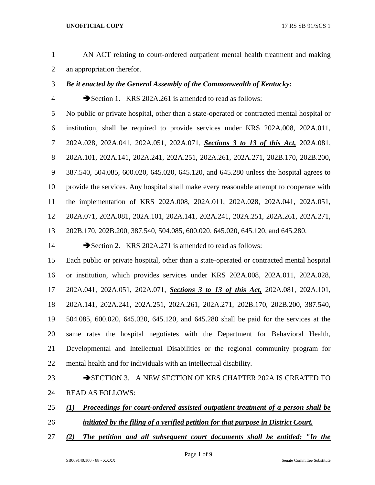- AN ACT relating to court-ordered outpatient mental health treatment and making an appropriation therefor.
- *Be it enacted by the General Assembly of the Commonwealth of Kentucky:*
- 

4 Section 1. KRS 202A.261 is amended to read as follows:

 No public or private hospital, other than a state-operated or contracted mental hospital or institution, shall be required to provide services under KRS 202A.008, 202A.011, 202A.028, 202A.041, 202A.051, 202A.071, *Sections 3 to 13 of this Act,* 202A.081, 202A.101, 202A.141, 202A.241, 202A.251, 202A.261, 202A.271, 202B.170, 202B.200, 387.540, 504.085, 600.020, 645.020, 645.120, and 645.280 unless the hospital agrees to provide the services. Any hospital shall make every reasonable attempt to cooperate with the implementation of KRS 202A.008, 202A.011, 202A.028, 202A.041, 202A.051, 202A.071, 202A.081, 202A.101, 202A.141, 202A.241, 202A.251, 202A.261, 202A.271, 202B.170, 202B.200, 387.540, 504.085, 600.020, 645.020, 645.120, and 645.280.

14 Section 2. KRS 202A.271 is amended to read as follows:

 Each public or private hospital, other than a state-operated or contracted mental hospital or institution, which provides services under KRS 202A.008, 202A.011, 202A.028, 202A.041, 202A.051, 202A.071, *Sections 3 to 13 of this Act,* 202A.081, 202A.101, 202A.141, 202A.241, 202A.251, 202A.261, 202A.271, 202B.170, 202B.200, 387.540, 504.085, 600.020, 645.020, 645.120, and 645.280 shall be paid for the services at the same rates the hospital negotiates with the Department for Behavioral Health, Developmental and Intellectual Disabilities or the regional community program for mental health and for individuals with an intellectual disability.

- 23 SECTION 3. A NEW SECTION OF KRS CHAPTER 202A IS CREATED TO READ AS FOLLOWS:
- *(1) Proceedings for court-ordered assisted outpatient treatment of a person shall be initiated by the filing of a verified petition for that purpose in District Court.*
- *(2) The petition and all subsequent court documents shall be entitled: "In the*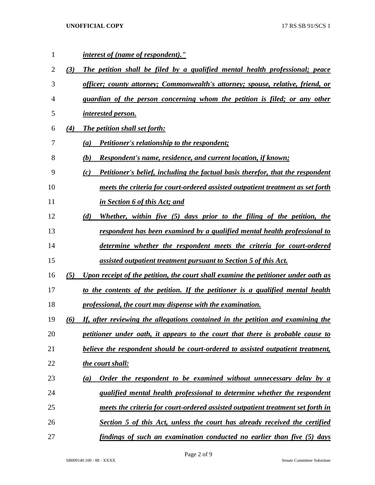| $\mathbf{1}$   |     | <i>interest of (name of respondent)."</i>                                                    |
|----------------|-----|----------------------------------------------------------------------------------------------|
| $\overline{c}$ | (3) | The petition shall be filed by a qualified mental health professional; peace                 |
| 3              |     | officer; county attorney; Commonwealth's attorney; spouse, relative, friend, or              |
| 4              |     | guardian of the person concerning whom the petition is filed; or any other                   |
| 5              |     | <i><u><b>interested person.</b></u></i>                                                      |
| 6              | (4) | <b>The petition shall set forth:</b>                                                         |
| 7              |     | <b>Petitioner's relationship to the respondent;</b><br>(a)                                   |
| 8              |     | (b)<br><u>Respondent's name, residence, and current location, if known;</u>                  |
| 9              |     | <b>Petitioner's belief, including the factual basis therefor, that the respondent</b><br>(c) |
| 10             |     | meets the criteria for court-ordered assisted outpatient treatment as set forth              |
| 11             |     | in Section 6 of this Act; and                                                                |
| 12             |     | Whether, within five (5) days prior to the filing of the petition, the<br>(d)                |
| 13             |     | respondent has been examined by a qualified mental health professional to                    |
| 14             |     | determine whether the respondent meets the criteria for court-ordered                        |
| 15             |     | <u>assisted outpatient treatment pursuant to Section 5 of this Act.</u>                      |
| 16             | (5) | Upon receipt of the petition, the court shall examine the petitioner under oath as           |
| 17             |     | to the contents of the petition. If the petitioner is a qualified mental health              |
| 18             |     | professional, the court may dispense with the examination.                                   |
| 19             | (6) | If, after reviewing the allegations contained in the petition and examining the              |
| 20             |     | petitioner under oath, it appears to the court that there is probable cause to               |
| 21             |     | believe the respondent should be court-ordered to assisted outpatient treatment,             |
| 22             |     | the court shall:                                                                             |
| 23             |     | Order the respondent to be examined without unnecessary delay by a<br>(a)                    |
| 24             |     | qualified mental health professional to determine whether the respondent                     |
| 25             |     | meets the criteria for court-ordered assisted outpatient treatment set forth in              |
| 26             |     | Section 5 of this Act, unless the court has already received the certified                   |
| 27             |     | findings of such an examination conducted no earlier than five (5) days                      |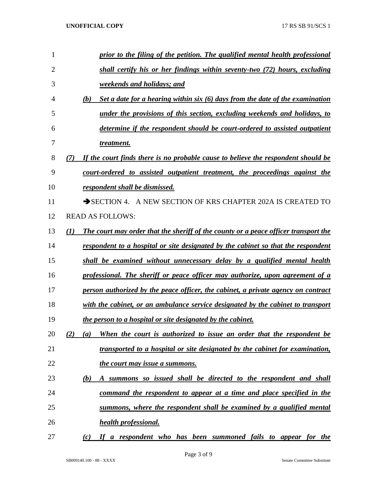| 1  | prior to the filing of the petition. The qualified mental health professional              |
|----|--------------------------------------------------------------------------------------------|
| 2  | shall certify his or her findings within seventy-two (72) hours, excluding                 |
| 3  | weekends and holidays; and                                                                 |
| 4  | Set a date for a hearing within six $(6)$ days from the date of the examination<br>(b)     |
| 5  | under the provisions of this section, excluding weekends and holidays, to                  |
| 6  | determine if the respondent should be court-ordered to assisted outpatient                 |
| 7  | treatment.                                                                                 |
| 8  | If the court finds there is no probable cause to believe the respondent should be<br>(7)   |
| 9  | court-ordered to assisted outpatient treatment, the proceedings against the                |
| 10 | respondent shall be dismissed.                                                             |
| 11 | SECTION 4. A NEW SECTION OF KRS CHAPTER 202A IS CREATED TO                                 |
| 12 | <b>READ AS FOLLOWS:</b>                                                                    |
| 13 | The court may order that the sheriff of the county or a peace officer transport the<br>(I) |
| 14 | respondent to a hospital or site designated by the cabinet so that the respondent          |
| 15 | shall be examined without unnecessary delay by a qualified mental health                   |
| 16 | professional. The sheriff or peace officer may authorize, upon agreement of a              |
| 17 | person authorized by the peace officer, the cabinet, a private agency on contract          |
| 18 | with the cabinet, or an ambulance service designated by the cabinet to transport           |
| 19 | the person to a hospital or site designated by the cabinet.                                |
| 20 | When the court is authorized to issue an order that the respondent be<br>(2)<br>(a)        |
| 21 | transported to a hospital or site designated by the cabinet for examination,               |
| 22 | the court may issue a summons.                                                             |
| 23 | A summons so issued shall be directed to the respondent and shall<br>(b)                   |
| 24 | command the respondent to appear at a time and place specified in the                      |
| 25 | summons, where the respondent shall be examined by a qualified mental                      |
| 26 | <i>health professional.</i>                                                                |
| 27 | If a respondent who has been summoned fails to appear for the<br>(c)                       |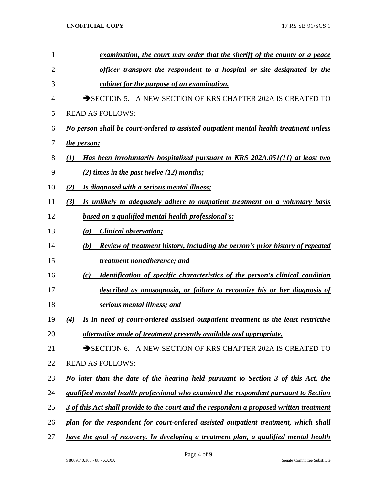| 1              | examination, the court may order that the sheriff of the county or a peace                  |
|----------------|---------------------------------------------------------------------------------------------|
| $\overline{2}$ | <u>officer transport the respondent to a hospital or site designated by the</u>             |
| 3              | cabinet for the purpose of an examination.                                                  |
| 4              | SECTION 5. A NEW SECTION OF KRS CHAPTER 202A IS CREATED TO                                  |
| 5              | <b>READ AS FOLLOWS:</b>                                                                     |
| 6              | No person shall be court-ordered to assisted outpatient mental health treatment unless      |
| 7              | <i>the person:</i>                                                                          |
| 8              | Has been involuntarily hospitalized pursuant to KRS 202A.051(11) at least two<br>(1)        |
| 9              | $(2)$ times in the past twelve $(12)$ months;                                               |
| 10             | (2)<br>Is diagnosed with a serious mental illness;                                          |
| 11             | (3)<br>Is unlikely to adequately adhere to outpatient treatment on a voluntary basis        |
| 12             | based on a qualified mental health professional's:                                          |
| 13             | <b>Clinical observation;</b><br>(a)                                                         |
| 14             | <b>Review of treatment history, including the person's prior history of repeated</b><br>(b) |
| 15             | treatment nonadherence; and                                                                 |
| 16             | <b>Identification of specific characteristics of the person's clinical condition</b><br>(c) |
| 17             | described as anosognosia, or failure to recognize his or her diagnosis of                   |
| 18             | <b><u>serious mental illness; and</u></b>                                                   |
| 19             | (4)<br>Is in need of court-ordered assisted outpatient treatment as the least restrictive   |
| 20             | alternative mode of treatment presently available and appropriate.                          |
| 21             | SECTION 6. A NEW SECTION OF KRS CHAPTER 202A IS CREATED TO                                  |
| 22             | <b>READ AS FOLLOWS:</b>                                                                     |
| 23             | No later than the date of the hearing held pursuant to Section 3 of this Act, the           |
| 24             | qualified mental health professional who examined the respondent pursuant to Section        |
| 25             | 3 of this Act shall provide to the court and the respondent a proposed written treatment    |
| 26             | plan for the respondent for court-ordered assisted outpatient treatment, which shall        |
| 27             | have the goal of recovery. In developing a treatment plan, a qualified mental health        |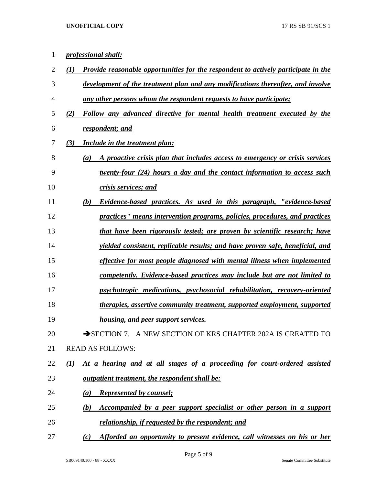| $\mathbf{1}$   | <i>professional shall:</i>                                                                       |
|----------------|--------------------------------------------------------------------------------------------------|
| $\overline{2}$ | <b>Provide reasonable opportunities for the respondent to actively participate in the</b><br>(I) |
| 3              | development of the treatment plan and any modifications thereafter, and involve                  |
| 4              | any other persons whom the respondent requests to have participate;                              |
| 5              | Follow any advanced directive for mental health treatment executed by the<br>(2)                 |
| 6              | respondent; and                                                                                  |
| 7              | (3)<br>Include in the treatment plan:                                                            |
| 8              | A proactive crisis plan that includes access to emergency or crisis services<br>(a)              |
| 9              | <u>twenty-four (24) hours a day and the contact information to access such</u>                   |
| 10             | crisis services; and                                                                             |
| 11             | Evidence-based practices. As used in this paragraph, "evidence-based"<br>(b)                     |
| 12             | practices" means intervention programs, policies, procedures, and practices                      |
| 13             | that have been rigorously tested; are proven by scientific research; have                        |
| 14             | <i>yielded consistent, replicable results; and have proven safe, beneficial, and</i>             |
| 15             | effective for most people diagnosed with mental illness when implemented                         |
| 16             | competently. Evidence-based practices may include but are not limited to                         |
| 17             | psychotropic medications, psychosocial rehabilitation, recovery-oriented                         |
| 18             | <i>therapies, assertive community treatment, supported employment, supported</i>                 |
| 19             | <i>housing, and peer support services.</i>                                                       |
| 20             | SECTION 7. A NEW SECTION OF KRS CHAPTER 202A IS CREATED TO                                       |
| 21             | <b>READ AS FOLLOWS:</b>                                                                          |
| 22             | At a hearing and at all stages of a proceeding for court-ordered assisted<br>(1)                 |
| 23             | outpatient treatment, the respondent shall be:                                                   |
| 24             | <b>Represented by counsel;</b><br>(a)                                                            |
| 25             | Accompanied by a peer support specialist or other person in a support<br>(b)                     |
| 26             | relationship, if requested by the respondent; and                                                |
| 27             | Afforded an opportunity to present evidence, call witnesses on his or her<br>(c)                 |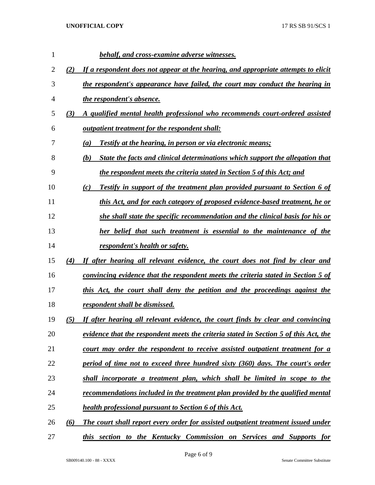| 1  |     | behalf, and cross-examine adverse witnesses.                                             |
|----|-----|------------------------------------------------------------------------------------------|
| 2  | (2) | If a respondent does not appear at the hearing, and appropriate attempts to elicit       |
| 3  |     | the respondent's appearance have failed, the court may conduct the hearing in            |
| 4  |     | <i>the respondent's absence.</i>                                                         |
| 5  | (3) | A qualified mental health professional who recommends court-ordered assisted             |
| 6  |     | <i>outpatient treatment for the respondent shall:</i>                                    |
| 7  |     | Testify at the hearing, in person or via electronic means;<br>(a)                        |
| 8  |     | State the facts and clinical determinations which support the allegation that<br>(b)     |
| 9  |     | the respondent meets the criteria stated in Section 5 of this Act; and                   |
| 10 |     | <b>Testify in support of the treatment plan provided pursuant to Section 6 of</b><br>(c) |
| 11 |     | this Act, and for each category of proposed evidence-based treatment, he or              |
| 12 |     | she shall state the specific recommendation and the clinical basis for his or            |
| 13 |     | her belief that such treatment is essential to the maintenance of the                    |
| 14 |     | respondent's health or safety.                                                           |
| 15 | (4) | If after hearing all relevant evidence, the court does not find by clear and             |
| 16 |     | convincing evidence that the respondent meets the criteria stated in Section 5 of        |
| 17 |     | this Act, the court shall deny the petition and the proceedings against the              |
| 18 |     | respondent shall be dismissed.                                                           |
| 19 | (5) | If after hearing all relevant evidence, the court finds by clear and convincing          |
| 20 |     | evidence that the respondent meets the criteria stated in Section 5 of this Act, the     |
| 21 |     | court may order the respondent to receive assisted outpatient treatment for a            |
| 22 |     | period of time not to exceed three hundred sixty (360) days. The court's order           |
| 23 |     | shall incorporate a treatment plan, which shall be limited in scope to the               |
| 24 |     | recommendations included in the treatment plan provided by the qualified mental          |
| 25 |     | health professional pursuant to Section 6 of this Act.                                   |
| 26 | (6) | The court shall report every order for assisted outpatient treatment issued under        |
| 27 |     | this section to the Kentucky Commission on Services and Supports for                     |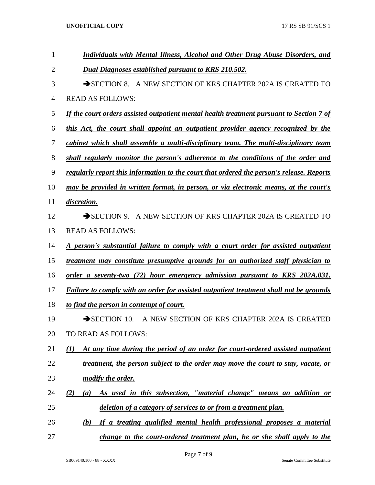| 1              | Individuals with Mental Illness, Alcohol and Other Drug Abuse Disorders, and                        |
|----------------|-----------------------------------------------------------------------------------------------------|
| $\overline{2}$ | <b>Dual Diagnoses established pursuant to KRS 210.502.</b>                                          |
| 3              | SECTION 8. A NEW SECTION OF KRS CHAPTER 202A IS CREATED TO                                          |
| 4              | <b>READ AS FOLLOWS:</b>                                                                             |
| 5              | If the court orders assisted outpatient mental health treatment pursuant to Section 7 of            |
| 6              | this Act, the court shall appoint an outpatient provider agency recognized by the                   |
| 7              | cabinet which shall assemble a multi-disciplinary team. The multi-disciplinary team                 |
| 8              | shall regularly monitor the person's adherence to the conditions of the order and                   |
| 9              | regularly report this information to the court that ordered the person's release. Reports           |
| 10             | may be provided in written format, in person, or via electronic means, at the court's               |
| 11             | discretion.                                                                                         |
| 12             | SECTION 9. A NEW SECTION OF KRS CHAPTER 202A IS CREATED TO                                          |
| 13             | <b>READ AS FOLLOWS:</b>                                                                             |
| 14             | <u>A person's substantial failure to comply with a court order for assisted outpatient</u>          |
| 15             | treatment may constitute presumptive grounds for an authorized staff physician to                   |
| 16             | order a seventy-two (72) hour emergency admission pursuant to KRS 202A.031.                         |
| 17             | <b>Failure to comply with an order for assisted outpatient treatment shall not be grounds</b>       |
| 18             | to find the person in contempt of court.                                                            |
| 19             | $\rightarrow$ SECTION 10.<br>A NEW SECTION OF KRS CHAPTER 202A IS CREATED                           |
| 20             | TO READ AS FOLLOWS:                                                                                 |
| 21             | At any time during the period of an order for court-ordered assisted outpatient<br>$\mathcal{L}(I)$ |
| 22             | treatment, the person subject to the order may move the court to stay, vacate, or                   |
| 23             | modify the order.                                                                                   |
| 24             | As used in this subsection, "material change" means an addition or<br>(2)<br>(a)                    |
| 25             | deletion of a category of services to or from a treatment plan.                                     |
| 26             | If a treating qualified mental health professional proposes a material<br>(b)                       |
| 27             | change to the court-ordered treatment plan, he or she shall apply to the                            |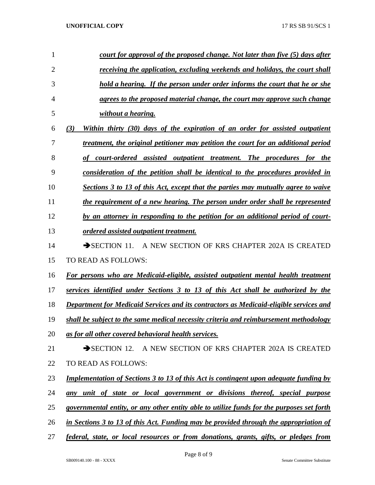| 1              | court for approval of the proposed change. Not later than five (5) days after                       |
|----------------|-----------------------------------------------------------------------------------------------------|
| $\overline{2}$ | receiving the application, excluding weekends and holidays, the court shall                         |
| 3              | hold a hearing. If the person under order informs the court that he or she                          |
| 4              | agrees to the proposed material change, the court may approve such change                           |
| 5              | without a hearing.                                                                                  |
| 6              | Within thirty (30) days of the expiration of an order for assisted outpatient<br>(3)                |
| 7              | treatment, the original petitioner may petition the court for an additional period                  |
| 8              | court-ordered assisted outpatient treatment. The procedures for the                                 |
| 9              | consideration of the petition shall be identical to the procedures provided in                      |
| 10             | Sections 3 to 13 of this Act, except that the parties may mutually agree to waive                   |
| 11             | the requirement of a new hearing. The person under order shall be represented                       |
| 12             | by an attorney in responding to the petition for an additional period of court-                     |
| 13             | ordered assisted outpatient treatment.                                                              |
| 14             | $\rightarrow$ SECTION 11.<br>A NEW SECTION OF KRS CHAPTER 202A IS CREATED                           |
| 15             | TO READ AS FOLLOWS:                                                                                 |
| 16             | For persons who are Medicaid-eligible, assisted outpatient mental health treatment                  |
| 17             | services identified under Sections 3 to 13 of this Act shall be authorized by the                   |
| 18             | Department for Medicaid Services and its contractors as Medicaid-eligible services and              |
| 19             | shall be subject to the same medical necessity criteria and reimbursement methodology               |
| 20             | as for all other covered behavioral health services.                                                |
| 21             | SECTION 12. A NEW SECTION OF KRS CHAPTER 202A IS CREATED                                            |
| 22             | TO READ AS FOLLOWS:                                                                                 |
| 23             | <u><b>Implementation of Sections 3 to 13 of this Act is contingent upon adequate funding by</b></u> |
| 24             | any unit of state or local government or divisions thereof, special purpose                         |
| 25             | governmental entity, or any other entity able to utilize funds for the purposes set forth           |
| 26             | in Sections 3 to 13 of this Act. Funding may be provided through the appropriation of               |
| 27             | federal, state, or local resources or from donations, grants, gifts, or pledges from                |